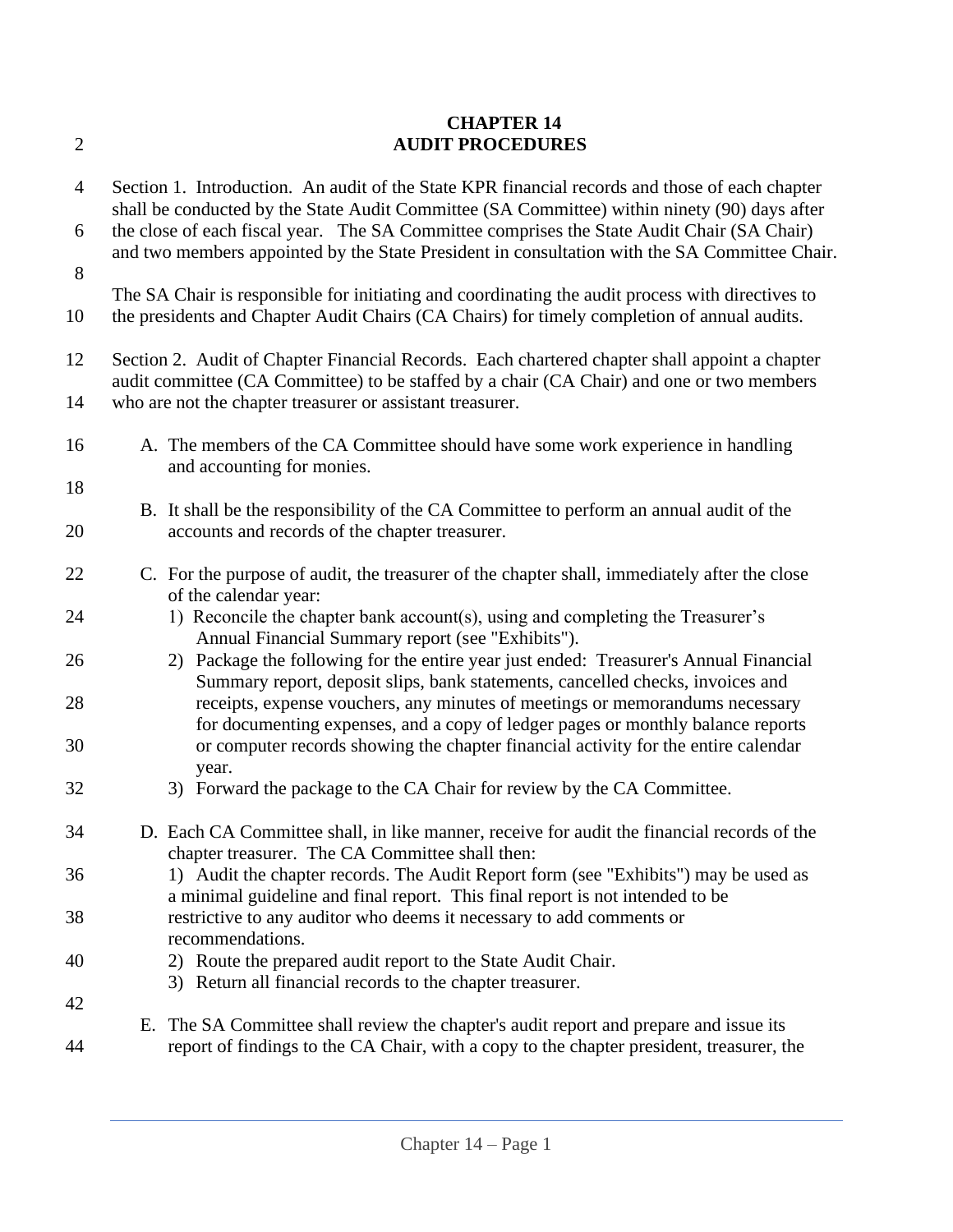| $\overline{2}$ | <b>CHAPTER 14</b><br><b>AUDIT PROCEDURES</b>                                                                                                                                                                                                            |  |  |
|----------------|---------------------------------------------------------------------------------------------------------------------------------------------------------------------------------------------------------------------------------------------------------|--|--|
| $\overline{4}$ | Section 1. Introduction. An audit of the State KPR financial records and those of each chapter<br>shall be conducted by the State Audit Committee (SA Committee) within ninety (90) days after                                                          |  |  |
| 6              | the close of each fiscal year. The SA Committee comprises the State Audit Chair (SA Chair)<br>and two members appointed by the State President in consultation with the SA Committee Chair.                                                             |  |  |
| 8              |                                                                                                                                                                                                                                                         |  |  |
| 10             | The SA Chair is responsible for initiating and coordinating the audit process with directives to<br>the presidents and Chapter Audit Chairs (CA Chairs) for timely completion of annual audits.                                                         |  |  |
| 12<br>14       | Section 2. Audit of Chapter Financial Records. Each chartered chapter shall appoint a chapter<br>audit committee (CA Committee) to be staffed by a chair (CA Chair) and one or two members<br>who are not the chapter treasurer or assistant treasurer. |  |  |
| 16             | A. The members of the CA Committee should have some work experience in handling<br>and accounting for monies.                                                                                                                                           |  |  |
| 18             | B. It shall be the responsibility of the CA Committee to perform an annual audit of the                                                                                                                                                                 |  |  |
| 20             | accounts and records of the chapter treasurer.                                                                                                                                                                                                          |  |  |
| 22             | C. For the purpose of audit, the treasurer of the chapter shall, immediately after the close<br>of the calendar year:                                                                                                                                   |  |  |
| 24             | 1) Reconcile the chapter bank account(s), using and completing the Treasurer's<br>Annual Financial Summary report (see "Exhibits").                                                                                                                     |  |  |
| 26             | 2) Package the following for the entire year just ended: Treasurer's Annual Financial<br>Summary report, deposit slips, bank statements, cancelled checks, invoices and                                                                                 |  |  |
| 28             | receipts, expense vouchers, any minutes of meetings or memorandums necessary<br>for documenting expenses, and a copy of ledger pages or monthly balance reports                                                                                         |  |  |
| 30             | or computer records showing the chapter financial activity for the entire calendar<br>year.                                                                                                                                                             |  |  |
| 32             | 3) Forward the package to the CA Chair for review by the CA Committee.                                                                                                                                                                                  |  |  |
| 34             | D. Each CA Committee shall, in like manner, receive for audit the financial records of the<br>chapter treasurer. The CA Committee shall then:                                                                                                           |  |  |
| 36             | 1) Audit the chapter records. The Audit Report form (see "Exhibits") may be used as<br>a minimal guideline and final report. This final report is not intended to be                                                                                    |  |  |
| 38             | restrictive to any auditor who deems it necessary to add comments or<br>recommendations.                                                                                                                                                                |  |  |
| 40             | 2) Route the prepared audit report to the State Audit Chair.<br>3) Return all financial records to the chapter treasurer.                                                                                                                               |  |  |
| 42             |                                                                                                                                                                                                                                                         |  |  |
| 44             | The SA Committee shall review the chapter's audit report and prepare and issue its<br>Е.<br>report of findings to the CA Chair, with a copy to the chapter president, treasurer, the                                                                    |  |  |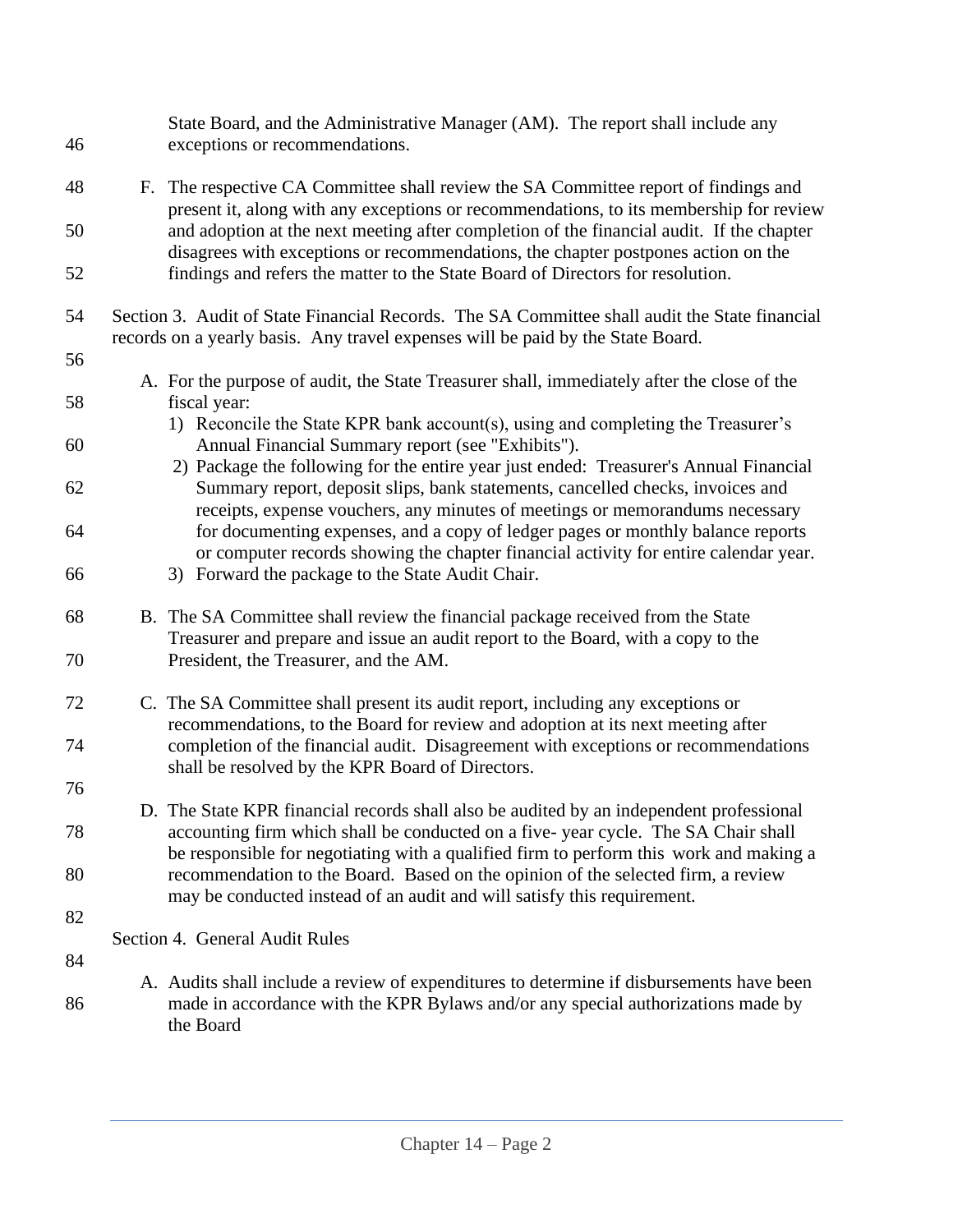| 46 |                                | State Board, and the Administrative Manager (AM). The report shall include any<br>exceptions or recommendations.                                                                                                                                        |
|----|--------------------------------|---------------------------------------------------------------------------------------------------------------------------------------------------------------------------------------------------------------------------------------------------------|
| 48 | F.                             | The respective CA Committee shall review the SA Committee report of findings and                                                                                                                                                                        |
| 50 |                                | present it, along with any exceptions or recommendations, to its membership for review<br>and adoption at the next meeting after completion of the financial audit. If the chapter                                                                      |
| 52 |                                | disagrees with exceptions or recommendations, the chapter postpones action on the<br>findings and refers the matter to the State Board of Directors for resolution.                                                                                     |
| 54 |                                | Section 3. Audit of State Financial Records. The SA Committee shall audit the State financial<br>records on a yearly basis. Any travel expenses will be paid by the State Board.                                                                        |
| 56 |                                |                                                                                                                                                                                                                                                         |
| 58 | fiscal year:                   | A. For the purpose of audit, the State Treasurer shall, immediately after the close of the                                                                                                                                                              |
| 60 |                                | 1) Reconcile the State KPR bank account(s), using and completing the Treasurer's<br>Annual Financial Summary report (see "Exhibits").                                                                                                                   |
| 62 |                                | 2) Package the following for the entire year just ended: Treasurer's Annual Financial<br>Summary report, deposit slips, bank statements, cancelled checks, invoices and<br>receipts, expense vouchers, any minutes of meetings or memorandums necessary |
| 64 |                                | for documenting expenses, and a copy of ledger pages or monthly balance reports<br>or computer records showing the chapter financial activity for entire calendar year.                                                                                 |
| 66 |                                | 3) Forward the package to the State Audit Chair.                                                                                                                                                                                                        |
| 68 |                                | B. The SA Committee shall review the financial package received from the State<br>Treasurer and prepare and issue an audit report to the Board, with a copy to the                                                                                      |
| 70 |                                | President, the Treasurer, and the AM.                                                                                                                                                                                                                   |
| 72 |                                | C. The SA Committee shall present its audit report, including any exceptions or<br>recommendations, to the Board for review and adoption at its next meeting after                                                                                      |
| 74 |                                | completion of the financial audit. Disagreement with exceptions or recommendations<br>shall be resolved by the KPR Board of Directors.                                                                                                                  |
| 76 |                                | D. The State KPR financial records shall also be audited by an independent professional                                                                                                                                                                 |
| 78 |                                | accounting firm which shall be conducted on a five-year cycle. The SA Chair shall<br>be responsible for negotiating with a qualified firm to perform this work and making a                                                                             |
| 80 |                                | recommendation to the Board. Based on the opinion of the selected firm, a review<br>may be conducted instead of an audit and will satisfy this requirement.                                                                                             |
| 82 |                                |                                                                                                                                                                                                                                                         |
| 84 | Section 4. General Audit Rules |                                                                                                                                                                                                                                                         |
| 86 | the Board                      | A. Audits shall include a review of expenditures to determine if disbursements have been<br>made in accordance with the KPR Bylaws and/or any special authorizations made by                                                                            |